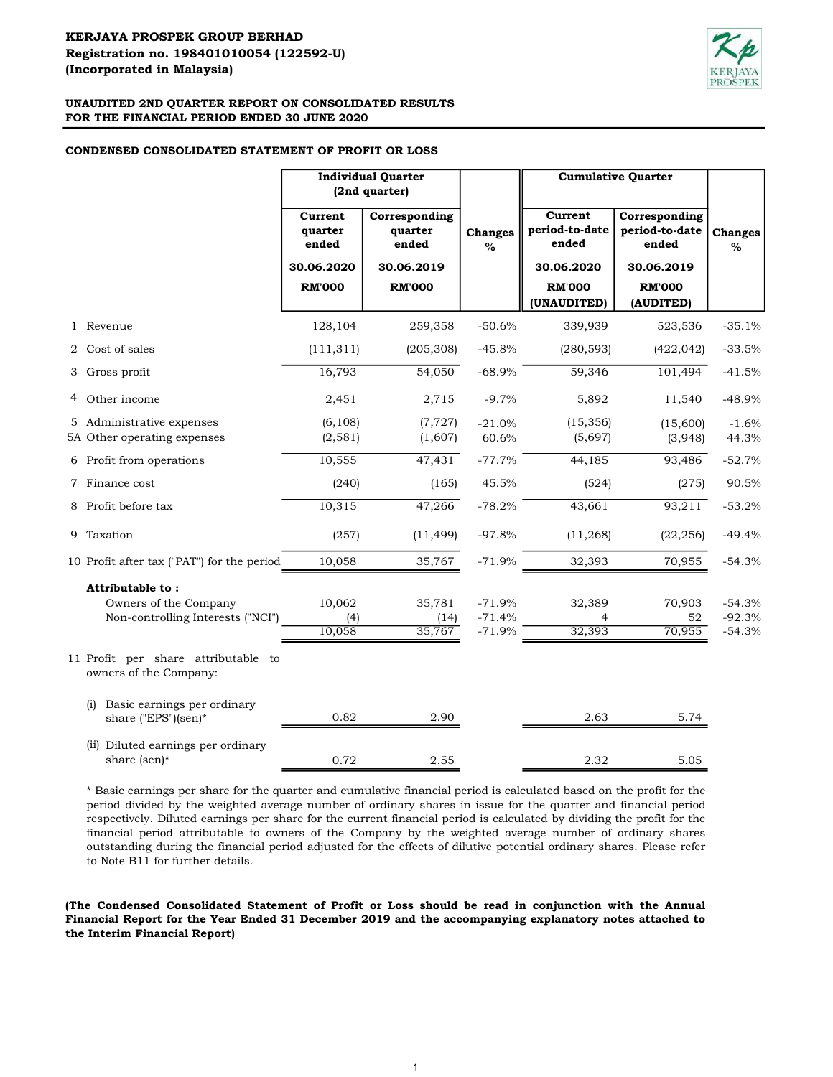

## CONDENSED CONSOLIDATED STATEMENT OF PROFIT OR LOSS

|   |                                                                                | <b>Individual Quarter</b><br>(2nd quarter) |                                   |                                  |                                    | <b>Cumulative Quarter</b>                |                                  |
|---|--------------------------------------------------------------------------------|--------------------------------------------|-----------------------------------|----------------------------------|------------------------------------|------------------------------------------|----------------------------------|
|   |                                                                                | Current<br>quarter<br>ended                | Corresponding<br>quarter<br>ended | <b>Changes</b><br>$\%$           | Current<br>period-to-date<br>ended | Corresponding<br>period-to-date<br>ended | <b>Changes</b><br>$\%$           |
|   |                                                                                | 30.06.2020                                 | 30.06.2019                        |                                  | 30.06.2020                         | 30.06.2019                               |                                  |
|   |                                                                                | <b>RM'000</b>                              | <b>RM'000</b>                     |                                  | <b>RM'000</b><br>(UNAUDITED)       | <b>RM'000</b><br>(AUDITED)               |                                  |
|   | 1 Revenue                                                                      | 128,104                                    | 259,358                           | $-50.6%$                         | 339,939                            | 523,536                                  | $-35.1%$                         |
|   | 2 Cost of sales                                                                | (111, 311)                                 | (205, 308)                        | $-45.8%$                         | (280, 593)                         | (422, 042)                               | $-33.5%$                         |
|   | 3 Gross profit                                                                 | 16,793                                     | 54,050                            | $-68.9%$                         | 59,346                             | 101,494                                  | $-41.5%$                         |
| 4 | Other income                                                                   | 2,451                                      | 2,715                             | $-9.7%$                          | 5,892                              | 11,540                                   | $-48.9%$                         |
|   | 5 Administrative expenses<br>5A Other operating expenses                       | (6, 108)<br>(2, 581)                       | (7, 727)<br>(1,607)               | $-21.0%$<br>60.6%                | (15, 356)<br>(5,697)               | (15,600)<br>(3,948)                      | $-1.6%$<br>44.3%                 |
|   | 6 Profit from operations                                                       | 10,555                                     | 47,431                            | $-77.7%$                         | 44,185                             | 93,486                                   | $-52.7%$                         |
|   | 7 Finance cost                                                                 | (240)                                      | (165)                             | 45.5%                            | (524)                              | (275)                                    | 90.5%                            |
|   | 8 Profit before tax                                                            | 10,315                                     | 47,266                            | $-78.2%$                         | 43,661                             | 93,211                                   | $-53.2%$                         |
|   | 9 Taxation                                                                     | (257)                                      | (11, 499)                         | $-97.8%$                         | (11, 268)                          | (22, 256)                                | $-49.4%$                         |
|   | 10 Profit after tax ("PAT") for the period                                     | 10,058                                     | 35,767                            | $-71.9%$                         | 32,393                             | 70,955                                   | $-54.3%$                         |
|   | Attributable to:<br>Owners of the Company<br>Non-controlling Interests ("NCI") | 10,062<br>(4)<br>10,058                    | 35,781<br>(14)<br>35,767          | $-71.9%$<br>$-71.4%$<br>$-71.9%$ | 32,389<br>32,393                   | 70,903<br>52<br>70,955                   | $-54.3%$<br>$-92.3%$<br>$-54.3%$ |
|   | 11 Profit per share attributable to<br>owners of the Company:                  |                                            |                                   |                                  |                                    |                                          |                                  |
|   | Basic earnings per ordinary<br>(i)<br>share ("EPS")(sen)*                      | 0.82                                       | 2.90                              |                                  | 2.63                               | 5.74                                     |                                  |
|   | (ii) Diluted earnings per ordinary<br>share (sen)*                             | 0.72                                       | 2.55                              |                                  | 2.32                               | 5.05                                     |                                  |

\* Basic earnings per share for the quarter and cumulative financial period is calculated based on the profit for the period divided by the weighted average number of ordinary shares in issue for the quarter and financial period respectively. Diluted earnings per share for the current financial period is calculated by dividing the profit for the financial period attributable to owners of the Company by the weighted average number of ordinary shares outstanding during the financial period adjusted for the effects of dilutive potential ordinary shares. Please refer to Note B11 for further details.

(The Condensed Consolidated Statement of Profit or Loss should be read in conjunction with the Annual Financial Report for the Year Ended 31 December 2019 and the accompanying explanatory notes attached to the Interim Financial Report)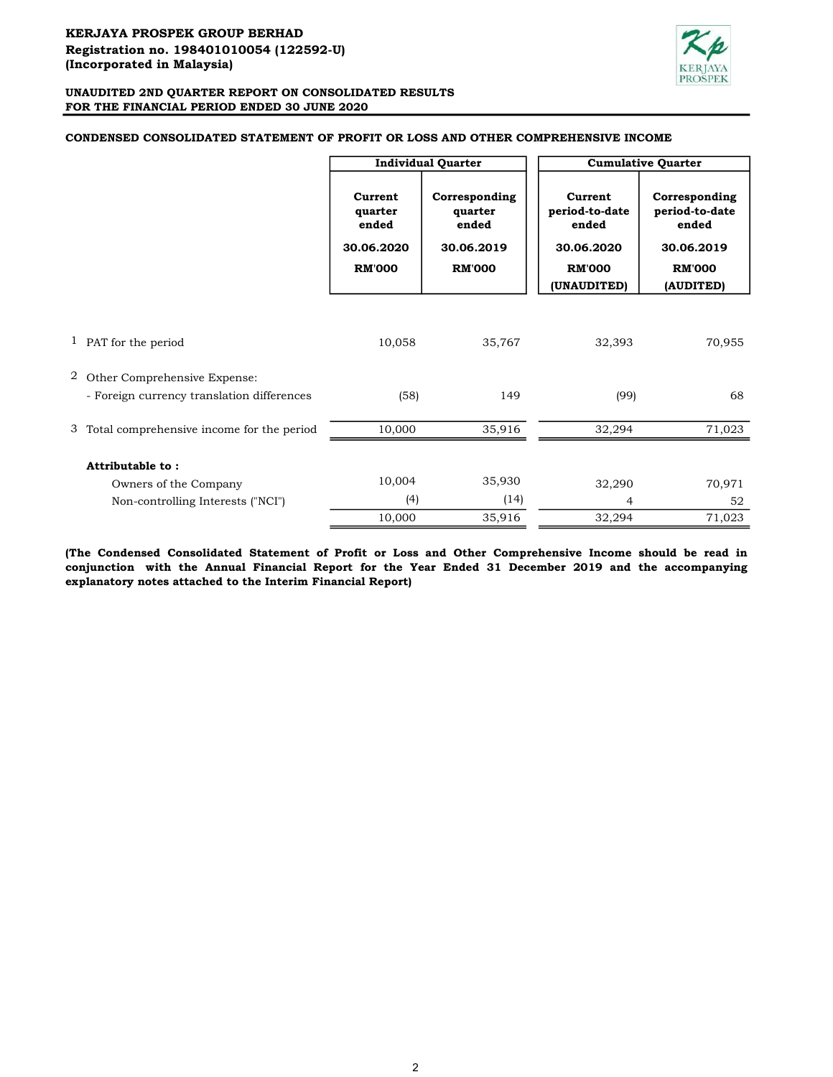

### Current quarter ended Corresponding quarter ended Current period-to-date ended Corresponding period-to-date ended 30.06.2020 30.06.2019 30.06.2020 30.06.2019 RM'000 RM'000 RM'000 RM'000 (UNAUDITED) (AUDITED) 1 35,767 10,058 32,393 70,955 PAT for the period 2 Other Comprehensive Expense: 149 (58) (99) 68 3 35,916 10,000 32,294 71,023 Total comprehensive income for the period 10,004 35,930 32,290 70,971  $(4)$   $(14)$   $4$   $52$  35,916 10,000 32,294 71,023 Owners of the Company Non-controlling Interests ("NCI") Attributable to : - Foreign currency translation differences Cumulative Quarter Individual Quarter

CONDENSED CONSOLIDATED STATEMENT OF PROFIT OR LOSS AND OTHER COMPREHENSIVE INCOME

(The Condensed Consolidated Statement of Profit or Loss and Other Comprehensive Income should be read in conjunction with the Annual Financial Report for the Year Ended 31 December 2019 and the accompanying explanatory notes attached to the Interim Financial Report)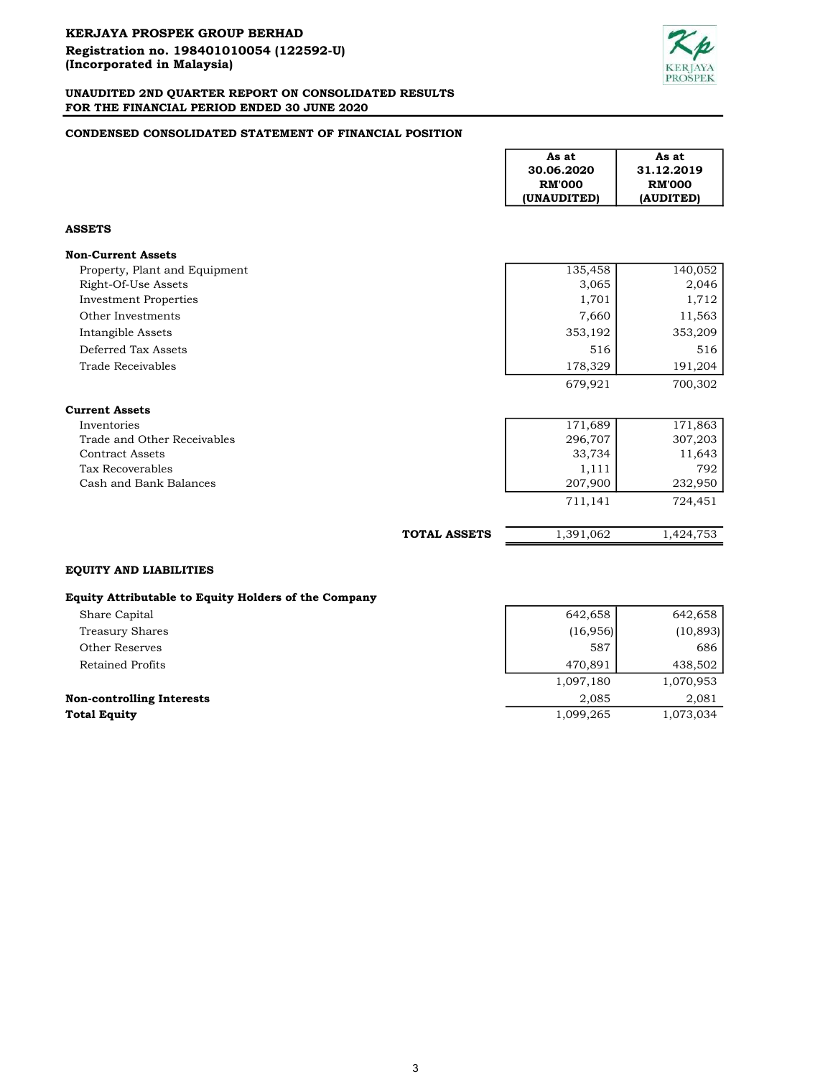

## CONDENSED CONSOLIDATED STATEMENT OF FINANCIAL POSITION

|                                                      |                     | As at<br>30.06.2020<br><b>RM'000</b><br>(UNAUDITED) | As at<br>31.12.2019<br><b>RM'000</b><br>(AUDITED) |
|------------------------------------------------------|---------------------|-----------------------------------------------------|---------------------------------------------------|
| <b>ASSETS</b>                                        |                     |                                                     |                                                   |
| <b>Non-Current Assets</b>                            |                     |                                                     |                                                   |
| Property, Plant and Equipment                        |                     | 135,458                                             | 140,052                                           |
| Right-Of-Use Assets                                  |                     | 3,065                                               | 2,046                                             |
| <b>Investment Properties</b>                         |                     | 1,701                                               | 1,712                                             |
| Other Investments                                    |                     | 7,660                                               | 11,563                                            |
| Intangible Assets                                    |                     | 353,192                                             | 353,209                                           |
| Deferred Tax Assets                                  |                     | 516                                                 | 516                                               |
| Trade Receivables                                    |                     | 178,329                                             | 191,204                                           |
|                                                      |                     | 679,921                                             | 700,302                                           |
| <b>Current Assets</b>                                |                     |                                                     |                                                   |
| Inventories                                          |                     | 171,689                                             | 171,863                                           |
| Trade and Other Receivables                          |                     | 296,707                                             | 307,203                                           |
| <b>Contract Assets</b>                               |                     | 33,734                                              | 11,643                                            |
| Tax Recoverables                                     |                     | 1,111                                               | 792                                               |
| Cash and Bank Balances                               |                     | 207,900<br>711,141                                  | 232,950<br>724,451                                |
|                                                      |                     |                                                     |                                                   |
|                                                      | <b>TOTAL ASSETS</b> | 1,391,062                                           | 1,424,753                                         |
| <b>EQUITY AND LIABILITIES</b>                        |                     |                                                     |                                                   |
| Equity Attributable to Equity Holders of the Company |                     |                                                     |                                                   |
| Share Capital                                        |                     | 642,658                                             | 642,658                                           |
| <b>Treasury Shares</b>                               |                     | (16, 956)                                           | (10, 893)                                         |
| Other Reserves                                       |                     | 587                                                 | 686                                               |
| <b>Retained Profits</b>                              |                     | 470,891                                             | 438,502                                           |
|                                                      |                     | 1,097,180                                           | 1,070,953                                         |

Non-controlling Interests 2,081 2,085 2,081

**Total Equity** 1,099,265 1,073,034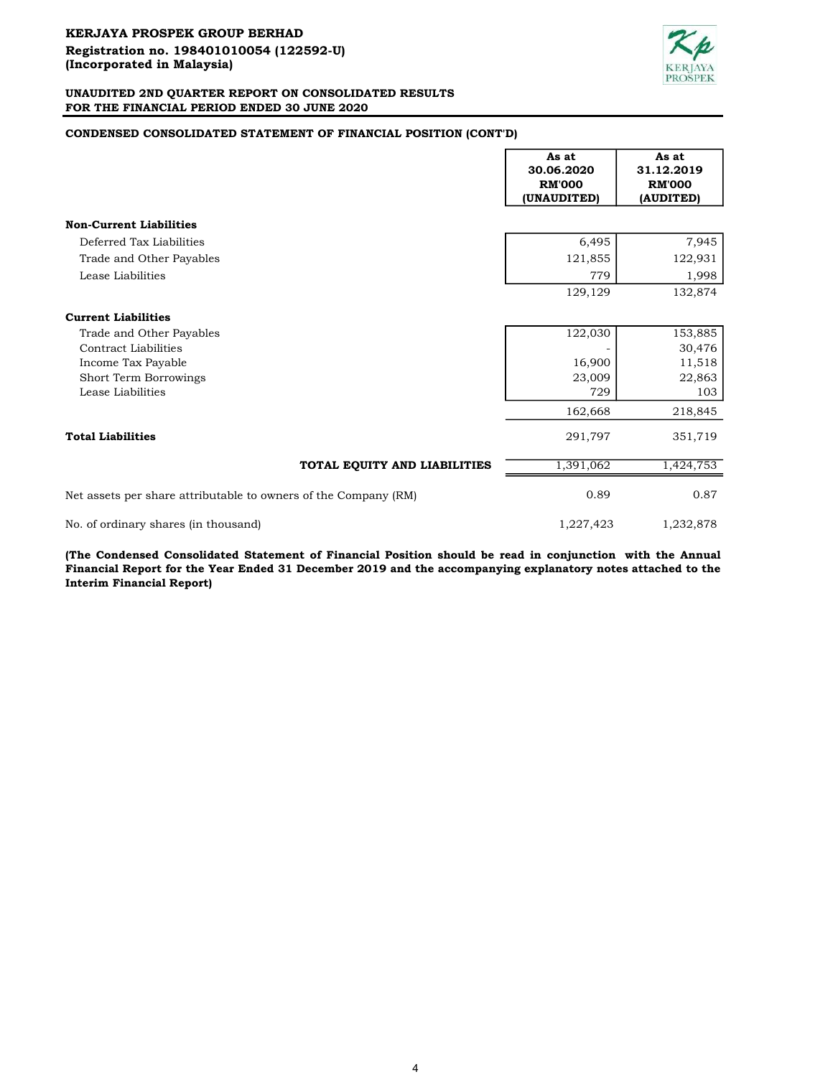

# CONDENSED CONSOLIDATED STATEMENT OF FINANCIAL POSITION (CONT'D)

|                                                                 | As at<br>30.06.2020<br><b>RM'000</b><br>(UNAUDITED) | As at<br>31.12.2019<br><b>RM'000</b><br>(AUDITED) |
|-----------------------------------------------------------------|-----------------------------------------------------|---------------------------------------------------|
| <b>Non-Current Liabilities</b>                                  |                                                     |                                                   |
| Deferred Tax Liabilities                                        | 6,495                                               | 7,945                                             |
| Trade and Other Payables                                        | 121,855                                             | 122,931                                           |
| Lease Liabilities                                               | 779                                                 | 1,998                                             |
|                                                                 | 129,129                                             | 132,874                                           |
| <b>Current Liabilities</b>                                      |                                                     |                                                   |
| Trade and Other Payables                                        | 122,030                                             | 153,885                                           |
| <b>Contract Liabilities</b>                                     |                                                     | 30,476                                            |
| Income Tax Payable                                              | 16,900                                              | 11,518                                            |
| Short Term Borrowings                                           | 23,009                                              | 22,863                                            |
| Lease Liabilities                                               | 729                                                 | 103                                               |
|                                                                 | 162,668                                             | 218,845                                           |
| <b>Total Liabilities</b>                                        | 291,797                                             | 351,719                                           |
| TOTAL EQUITY AND LIABILITIES                                    | 1,391,062                                           | 1,424,753                                         |
| Net assets per share attributable to owners of the Company (RM) | 0.89                                                | 0.87                                              |
| No. of ordinary shares (in thousand)                            | 1,227,423                                           | 1,232,878                                         |

(The Condensed Consolidated Statement of Financial Position should be read in conjunction with the Annual Financial Report for the Year Ended 31 December 2019 and the accompanying explanatory notes attached to the Interim Financial Report)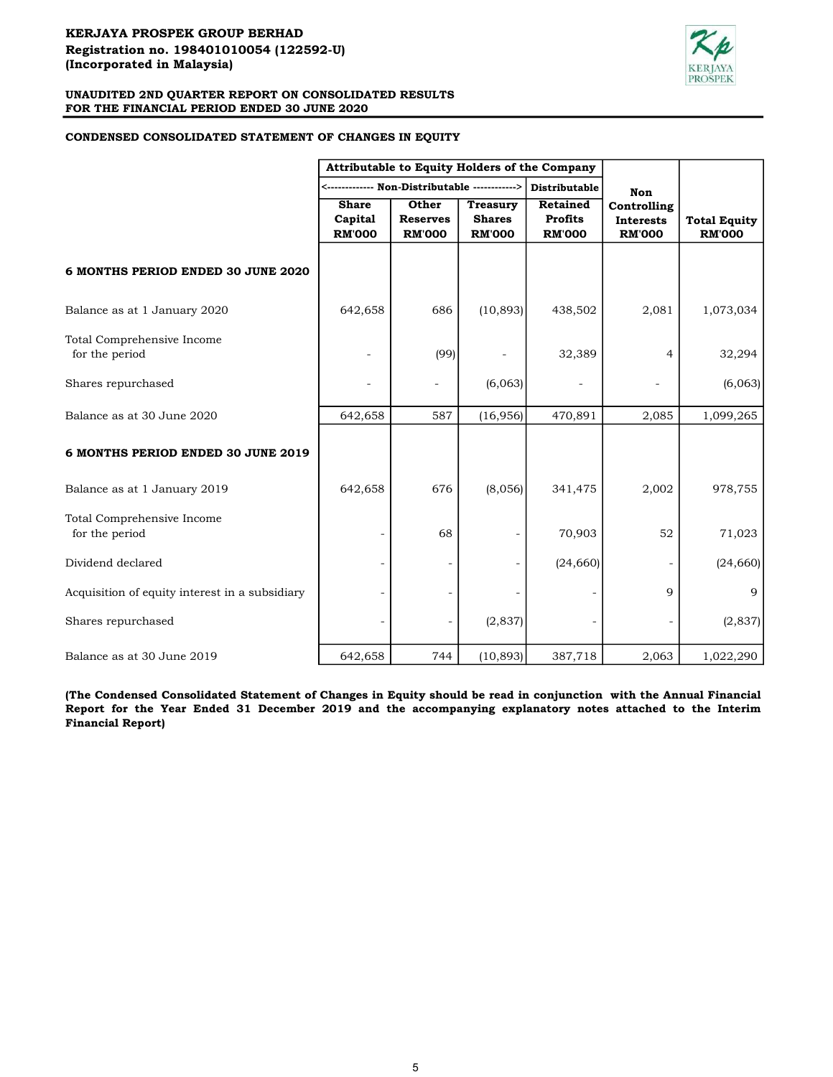

## CONDENSED CONSOLIDATED STATEMENT OF CHANGES IN EQUITY

|                                                | Attributable to Equity Holders of the Company |                                           |                                                   |                                                    |                                                  |                                      |
|------------------------------------------------|-----------------------------------------------|-------------------------------------------|---------------------------------------------------|----------------------------------------------------|--------------------------------------------------|--------------------------------------|
|                                                |                                               |                                           |                                                   | Distributable                                      | <b>Non</b>                                       |                                      |
|                                                | <b>Share</b><br>Capital<br><b>RM'000</b>      | Other<br><b>Reserves</b><br><b>RM'000</b> | <b>Treasury</b><br><b>Shares</b><br><b>RM'000</b> | <b>Retained</b><br><b>Profits</b><br><b>RM'000</b> | Controlling<br><b>Interests</b><br><b>RM'000</b> | <b>Total Equity</b><br><b>RM'000</b> |
| 6 MONTHS PERIOD ENDED 30 JUNE 2020             |                                               |                                           |                                                   |                                                    |                                                  |                                      |
| Balance as at 1 January 2020                   | 642,658                                       | 686                                       | (10, 893)                                         | 438,502                                            | 2,081                                            | 1,073,034                            |
| Total Comprehensive Income<br>for the period   |                                               | (99)                                      |                                                   | 32,389                                             | 4                                                | 32,294                               |
| Shares repurchased                             |                                               |                                           | (6,063)                                           |                                                    |                                                  | (6,063)                              |
| Balance as at 30 June 2020                     | 642,658                                       | 587                                       | (16,956)                                          | 470,891                                            | 2,085                                            | 1,099,265                            |
| 6 MONTHS PERIOD ENDED 30 JUNE 2019             |                                               |                                           |                                                   |                                                    |                                                  |                                      |
| Balance as at 1 January 2019                   | 642,658                                       | 676                                       | (8,056)                                           | 341,475                                            | 2,002                                            | 978,755                              |
| Total Comprehensive Income<br>for the period   |                                               | 68                                        |                                                   | 70,903                                             | 52                                               | 71,023                               |
| Dividend declared                              |                                               |                                           |                                                   | (24, 660)                                          |                                                  | (24, 660)                            |
| Acquisition of equity interest in a subsidiary |                                               |                                           |                                                   |                                                    | 9                                                | 9                                    |
| Shares repurchased                             |                                               |                                           | (2,837)                                           |                                                    |                                                  | (2,837)                              |
| Balance as at 30 June 2019                     | 642,658                                       | 744                                       | (10, 893)                                         | 387,718                                            | 2,063                                            | 1,022,290                            |

(The Condensed Consolidated Statement of Changes in Equity should be read in conjunction with the Annual Financial Report for the Year Ended 31 December 2019 and the accompanying explanatory notes attached to the Interim Financial Report)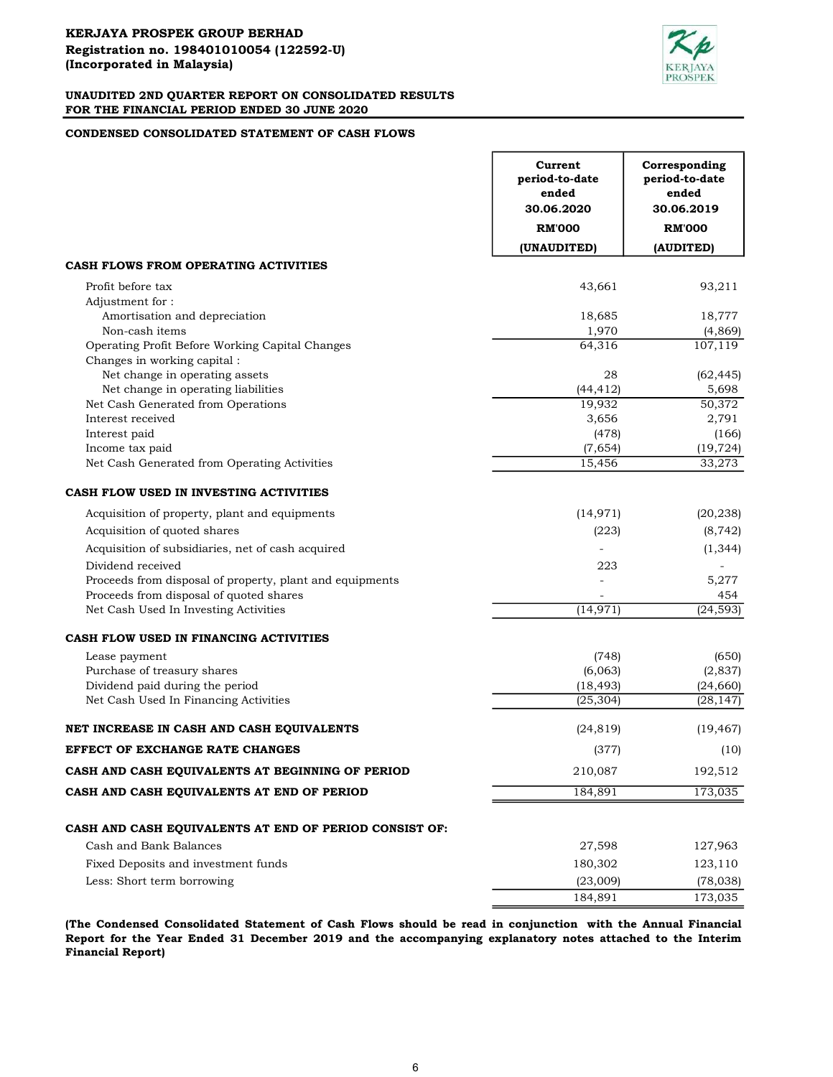

## CONDENSED CONSOLIDATED STATEMENT OF CASH FLOWS

|                                                          | Current<br>period-to-date<br>ended<br>30.06.2020 | Corresponding<br>period-to-date<br>ended<br>30.06.2019 |
|----------------------------------------------------------|--------------------------------------------------|--------------------------------------------------------|
|                                                          | <b>RM'000</b>                                    | <b>RM'000</b>                                          |
|                                                          | (UNAUDITED)                                      | (AUDITED)                                              |
| CASH FLOWS FROM OPERATING ACTIVITIES                     |                                                  |                                                        |
| Profit before tax                                        | 43,661                                           | 93,211                                                 |
| Adjustment for:                                          |                                                  |                                                        |
| Amortisation and depreciation                            | 18,685                                           | 18,777                                                 |
| Non-cash items                                           | 1,970                                            | (4, 869)                                               |
| Operating Profit Before Working Capital Changes          | 64,316                                           | 107,119                                                |
| Changes in working capital:                              |                                                  |                                                        |
| Net change in operating assets                           | 28                                               | (62, 445)                                              |
| Net change in operating liabilities                      | (44, 412)                                        | 5,698                                                  |
| Net Cash Generated from Operations                       | 19,932                                           | 50,372                                                 |
| Interest received                                        | 3,656                                            | 2,791                                                  |
| Interest paid<br>Income tax paid                         | (478)<br>(7,654)                                 | (166)                                                  |
| Net Cash Generated from Operating Activities             | 15,456                                           | (19, 724)<br>33,273                                    |
|                                                          |                                                  |                                                        |
| CASH FLOW USED IN INVESTING ACTIVITIES                   |                                                  |                                                        |
| Acquisition of property, plant and equipments            | (14, 971)                                        | (20, 238)                                              |
| Acquisition of quoted shares                             | (223)                                            | (8, 742)                                               |
| Acquisition of subsidiaries, net of cash acquired        |                                                  | (1, 344)                                               |
| Dividend received                                        | 223                                              |                                                        |
| Proceeds from disposal of property, plant and equipments |                                                  | 5,277                                                  |
| Proceeds from disposal of quoted shares                  |                                                  | 454                                                    |
| Net Cash Used In Investing Activities                    | (14, 971)                                        | (24, 593)                                              |
| CASH FLOW USED IN FINANCING ACTIVITIES                   |                                                  |                                                        |
| Lease payment                                            | (748)                                            | (650)                                                  |
| Purchase of treasury shares                              | (6,063)                                          | (2,837)                                                |
| Dividend paid during the period                          | (18, 493)                                        | (24, 660)                                              |
| Net Cash Used In Financing Activities                    | (25, 304)                                        | (28, 147)                                              |
| NET INCREASE IN CASH AND CASH EQUIVALENTS                | (24, 819)                                        | (19, 467)                                              |
| <b>EFFECT OF EXCHANGE RATE CHANGES</b>                   | (377)                                            | (10)                                                   |
| CASH AND CASH EQUIVALENTS AT BEGINNING OF PERIOD         | 210,087                                          | 192,512                                                |
| CASH AND CASH EQUIVALENTS AT END OF PERIOD               | 184,891                                          | 173,035                                                |
|                                                          |                                                  |                                                        |
| CASH AND CASH EQUIVALENTS AT END OF PERIOD CONSIST OF:   |                                                  |                                                        |
| Cash and Bank Balances                                   | 27,598                                           | 127,963                                                |
| Fixed Deposits and investment funds                      | 180,302                                          | 123,110                                                |
| Less: Short term borrowing                               | (23,009)                                         | (78, 038)                                              |
|                                                          | 184,891                                          | 173,035                                                |

(The Condensed Consolidated Statement of Cash Flows should be read in conjunction with the Annual Financial Report for the Year Ended 31 December 2019 and the accompanying explanatory notes attached to the Interim Financial Report)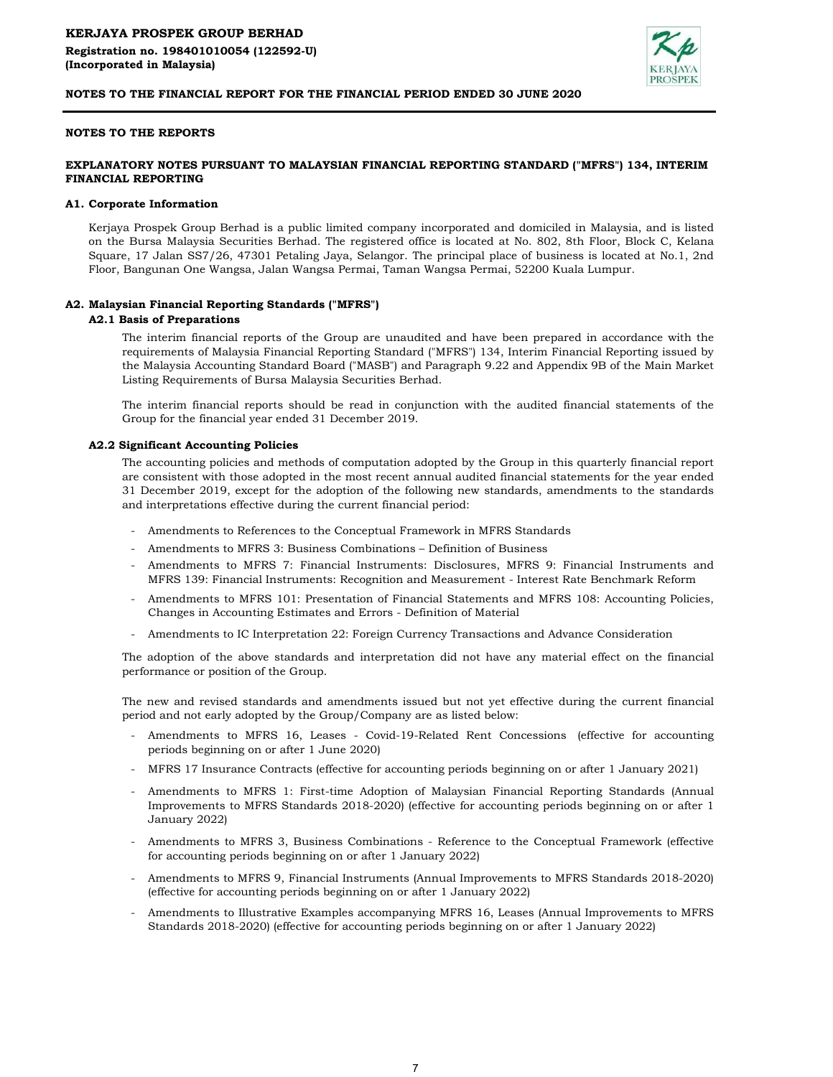

## NOTES TO THE REPORTS

## EXPLANATORY NOTES PURSUANT TO MALAYSIAN FINANCIAL REPORTING STANDARD ("MFRS") 134, INTERIM FINANCIAL REPORTING

#### A1. Corporate Information

Kerjaya Prospek Group Berhad is a public limited company incorporated and domiciled in Malaysia, and is listed on the Bursa Malaysia Securities Berhad. The registered office is located at No. 802, 8th Floor, Block C, Kelana Square, 17 Jalan SS7/26, 47301 Petaling Jaya, Selangor. The principal place of business is located at No.1, 2nd Floor, Bangunan One Wangsa, Jalan Wangsa Permai, Taman Wangsa Permai, 52200 Kuala Lumpur.

### A2. Malaysian Financial Reporting Standards ("MFRS")

### A2.1 Basis of Preparations

The interim financial reports of the Group are unaudited and have been prepared in accordance with the requirements of Malaysia Financial Reporting Standard ("MFRS") 134, Interim Financial Reporting issued by the Malaysia Accounting Standard Board ("MASB") and Paragraph 9.22 and Appendix 9B of the Main Market Listing Requirements of Bursa Malaysia Securities Berhad.

The interim financial reports should be read in conjunction with the audited financial statements of the Group for the financial year ended 31 December 2019.

#### A2.2 Significant Accounting Policies

The accounting policies and methods of computation adopted by the Group in this quarterly financial report are consistent with those adopted in the most recent annual audited financial statements for the year ended 31 December 2019, except for the adoption of the following new standards, amendments to the standards and interpretations effective during the current financial period:

- Amendments to References to the Conceptual Framework in MFRS Standards
- Amendments to MFRS 3: Business Combinations – Definition of Business
- Amendments to MFRS 7: Financial Instruments: Disclosures, MFRS 9: Financial Instruments and MFRS 139: Financial Instruments: Recognition and Measurement - Interest Rate Benchmark Reform
- Amendments to MFRS 101: Presentation of Financial Statements and MFRS 108: Accounting Policies, Changes in Accounting Estimates and Errors - Definition of Material
- Amendments to IC Interpretation 22: Foreign Currency Transactions and Advance Consideration

The adoption of the above standards and interpretation did not have any material effect on the financial performance or position of the Group.

The new and revised standards and amendments issued but not yet effective during the current financial period and not early adopted by the Group/Company are as listed below:

- Amendments to MFRS 16, Leases Covid-19-Related Rent Concessions (effective for accounting periods beginning on or after 1 June 2020)
- MFRS 17 Insurance Contracts (effective for accounting periods beginning on or after 1 January 2021)
- Amendments to MFRS 1: First-time Adoption of Malaysian Financial Reporting Standards (Annual Improvements to MFRS Standards 2018-2020) (effective for accounting periods beginning on or after 1 January 2022)
- Amendments to MFRS 3, Business Combinations Reference to the Conceptual Framework (effective for accounting periods beginning on or after 1 January 2022)
- Amendments to MFRS 9, Financial Instruments (Annual Improvements to MFRS Standards 2018-2020) (effective for accounting periods beginning on or after 1 January 2022)
- Amendments to Illustrative Examples accompanying MFRS 16, Leases (Annual Improvements to MFRS Standards 2018-2020) (effective for accounting periods beginning on or after 1 January 2022)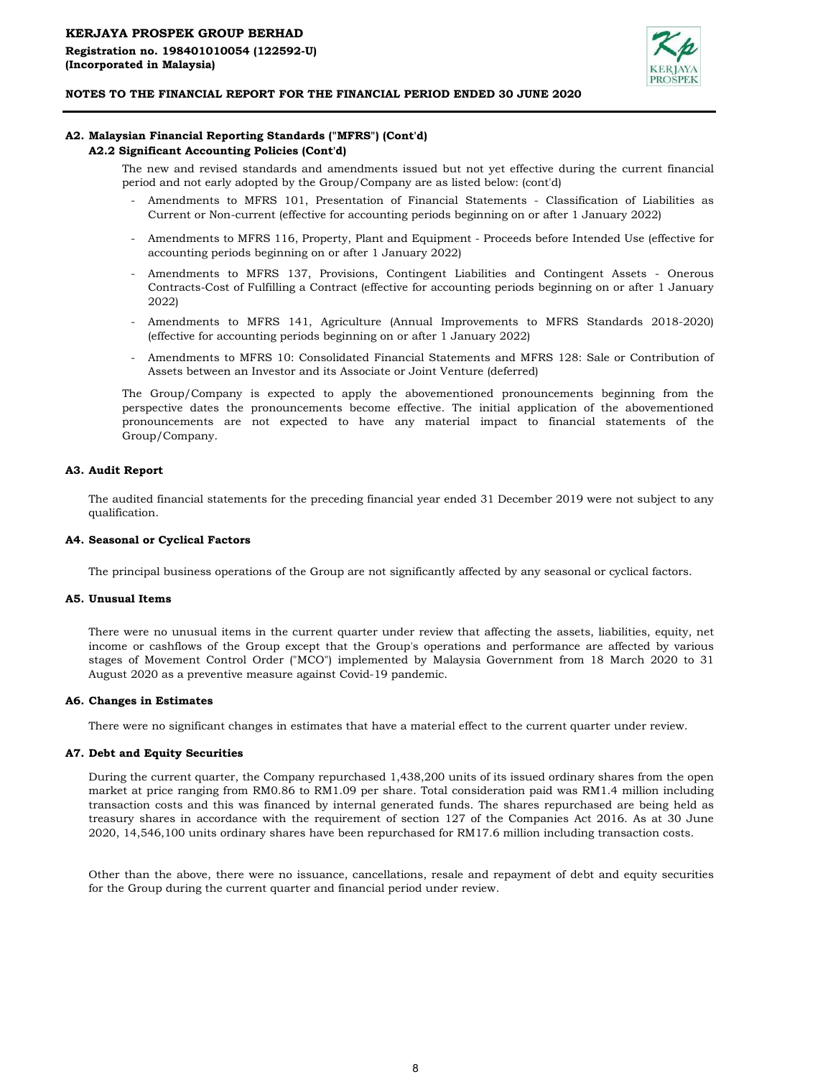

# A2. Malaysian Financial Reporting Standards ("MFRS") (Cont'd)

## A2.2 Significant Accounting Policies (Cont'd)

The new and revised standards and amendments issued but not yet effective during the current financial period and not early adopted by the Group/Company are as listed below: (cont'd)

- Amendments to MFRS 101, Presentation of Financial Statements - Classification of Liabilities as Current or Non-current (effective for accounting periods beginning on or after 1 January 2022)
- Amendments to MFRS 116, Property, Plant and Equipment - Proceeds before Intended Use (effective for accounting periods beginning on or after 1 January 2022)
- Amendments to MFRS 137, Provisions, Contingent Liabilities and Contingent Assets - Onerous Contracts-Cost of Fulfilling a Contract (effective for accounting periods beginning on or after 1 January 2022)
- Amendments to MFRS 141, Agriculture (Annual Improvements to MFRS Standards 2018-2020) (effective for accounting periods beginning on or after 1 January 2022)
- Amendments to MFRS 10: Consolidated Financial Statements and MFRS 128: Sale or Contribution of Assets between an Investor and its Associate or Joint Venture (deferred)

The Group/Company is expected to apply the abovementioned pronouncements beginning from the perspective dates the pronouncements become effective. The initial application of the abovementioned pronouncements are not expected to have any material impact to financial statements of the Group/Company.

### A3. Audit Report

The audited financial statements for the preceding financial year ended 31 December 2019 were not subject to any qualification.

#### A4. Seasonal or Cyclical Factors

The principal business operations of the Group are not significantly affected by any seasonal or cyclical factors.

#### A5. Unusual Items

There were no unusual items in the current quarter under review that affecting the assets, liabilities, equity, net income or cashflows of the Group except that the Group's operations and performance are affected by various stages of Movement Control Order ("MCO") implemented by Malaysia Government from 18 March 2020 to 31 August 2020 as a preventive measure against Covid-19 pandemic.

#### A6. Changes in Estimates

There were no significant changes in estimates that have a material effect to the current quarter under review.

## A7. Debt and Equity Securities

During the current quarter, the Company repurchased 1,438,200 units of its issued ordinary shares from the open market at price ranging from RM0.86 to RM1.09 per share. Total consideration paid was RM1.4 million including transaction costs and this was financed by internal generated funds. The shares repurchased are being held as treasury shares in accordance with the requirement of section 127 of the Companies Act 2016. As at 30 June 2020, 14,546,100 units ordinary shares have been repurchased for RM17.6 million including transaction costs.

Other than the above, there were no issuance, cancellations, resale and repayment of debt and equity securities for the Group during the current quarter and financial period under review.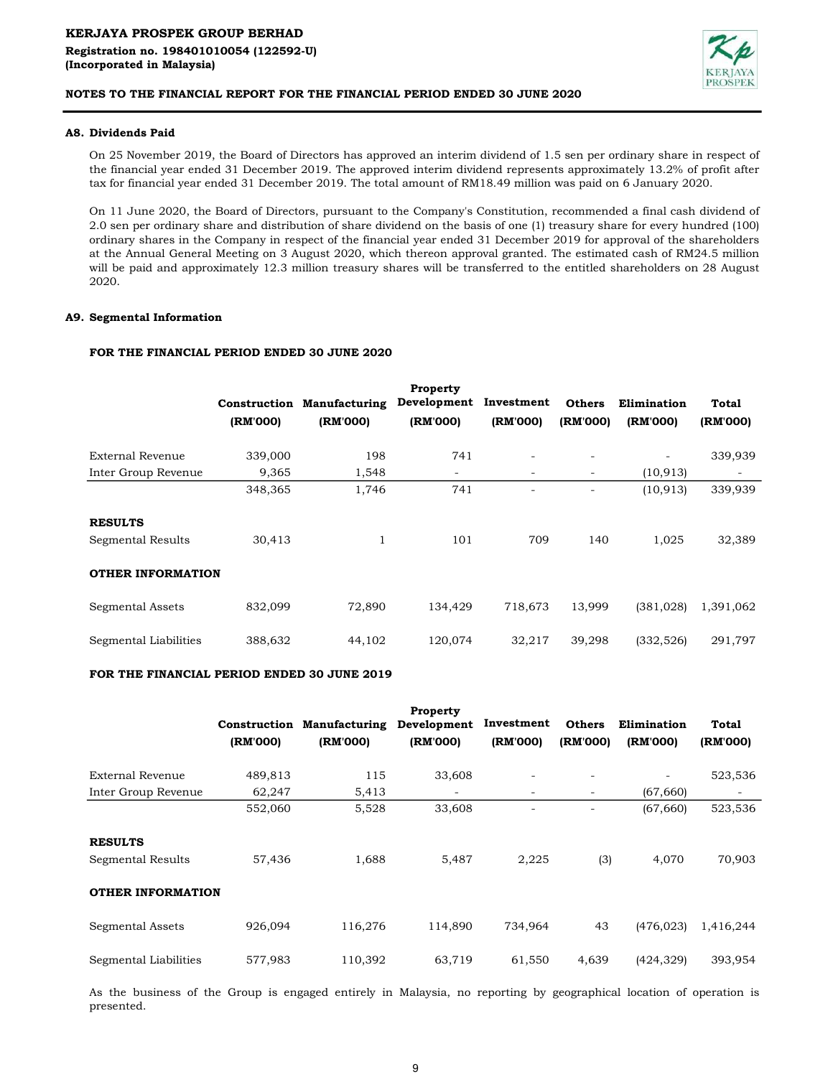

## A8. Dividends Paid

On 25 November 2019, the Board of Directors has approved an interim dividend of 1.5 sen per ordinary share in respect of the financial year ended 31 December 2019. The approved interim dividend represents approximately 13.2% of profit after tax for financial year ended 31 December 2019. The total amount of RM18.49 million was paid on 6 January 2020.

On 11 June 2020, the Board of Directors, pursuant to the Company's Constitution, recommended a final cash dividend of 2.0 sen per ordinary share and distribution of share dividend on the basis of one (1) treasury share for every hundred (100) ordinary shares in the Company in respect of the financial year ended 31 December 2019 for approval of the shareholders at the Annual General Meeting on 3 August 2020, which thereon approval granted. The estimated cash of RM24.5 million will be paid and approximately 12.3 million treasury shares will be transferred to the entitled shareholders on 28 August 2020.

## A9. Segmental Information

# FOR THE FINANCIAL PERIOD ENDED 30 JUNE 2020

|                          |          |                                   | Property    |                          |                          |                          |           |
|--------------------------|----------|-----------------------------------|-------------|--------------------------|--------------------------|--------------------------|-----------|
|                          |          | <b>Construction Manufacturing</b> | Development | Investment               | <b>Others</b>            | Elimination              | Total     |
|                          | (RM'000) | (RM'000)                          | (RM'000)    | (RM'000)                 | (RM'000)                 | (RM'000)                 | (RM'000)  |
| <b>External Revenue</b>  | 339,000  | 198                               | 741         | $\overline{\phantom{a}}$ |                          | $\overline{\phantom{a}}$ | 339,939   |
| Inter Group Revenue      | 9,365    | 1,548                             | -           | $\overline{\phantom{a}}$ | $\overline{\phantom{0}}$ | (10, 913)                |           |
|                          | 348,365  | 1,746                             | 741         |                          |                          | (10, 913)                | 339,939   |
| <b>RESULTS</b>           |          |                                   |             |                          |                          |                          |           |
| Segmental Results        | 30,413   | $\mathbf{1}$                      | 101         | 709                      | 140                      | 1,025                    | 32,389    |
| <b>OTHER INFORMATION</b> |          |                                   |             |                          |                          |                          |           |
| Segmental Assets         | 832,099  | 72,890                            | 134,429     | 718,673                  | 13,999                   | (381, 028)               | 1,391,062 |
| Segmental Liabilities    | 388,632  | 44,102                            | 120,074     | 32,217                   | 39,298                   | (332, 526)               | 291,797   |

## FOR THE FINANCIAL PERIOD ENDED 30 JUNE 2019

|                          | Construction<br>(RM'000) | <b>Manufacturing</b><br>(RM'000) | Property<br>Development<br>(RM'000) | Investment<br>(RM'000)   | <b>Others</b><br>(RM'000) | Elimination<br>(RM'000) | Total<br>(RM'000) |
|--------------------------|--------------------------|----------------------------------|-------------------------------------|--------------------------|---------------------------|-------------------------|-------------------|
| External Revenue         | 489,813                  | 115                              | 33,608                              |                          |                           |                         | 523,536           |
| Inter Group Revenue      | 62,247                   | 5,413                            | $\overline{\phantom{a}}$            | $\overline{\phantom{0}}$ | -                         | (67, 660)               | -                 |
|                          | 552,060                  | 5,528                            | 33,608                              |                          |                           | (67, 660)               | 523,536           |
| <b>RESULTS</b>           |                          |                                  |                                     |                          |                           |                         |                   |
| Segmental Results        | 57,436                   | 1,688                            | 5,487                               | 2,225                    | (3)                       | 4,070                   | 70,903            |
| <b>OTHER INFORMATION</b> |                          |                                  |                                     |                          |                           |                         |                   |
| Segmental Assets         | 926,094                  | 116,276                          | 114,890                             | 734,964                  | 43                        | (476, 023)              | 1,416,244         |
| Segmental Liabilities    | 577,983                  | 110,392                          | 63,719                              | 61,550                   | 4,639                     | (424, 329)              | 393,954           |

As the business of the Group is engaged entirely in Malaysia, no reporting by geographical location of operation is presented.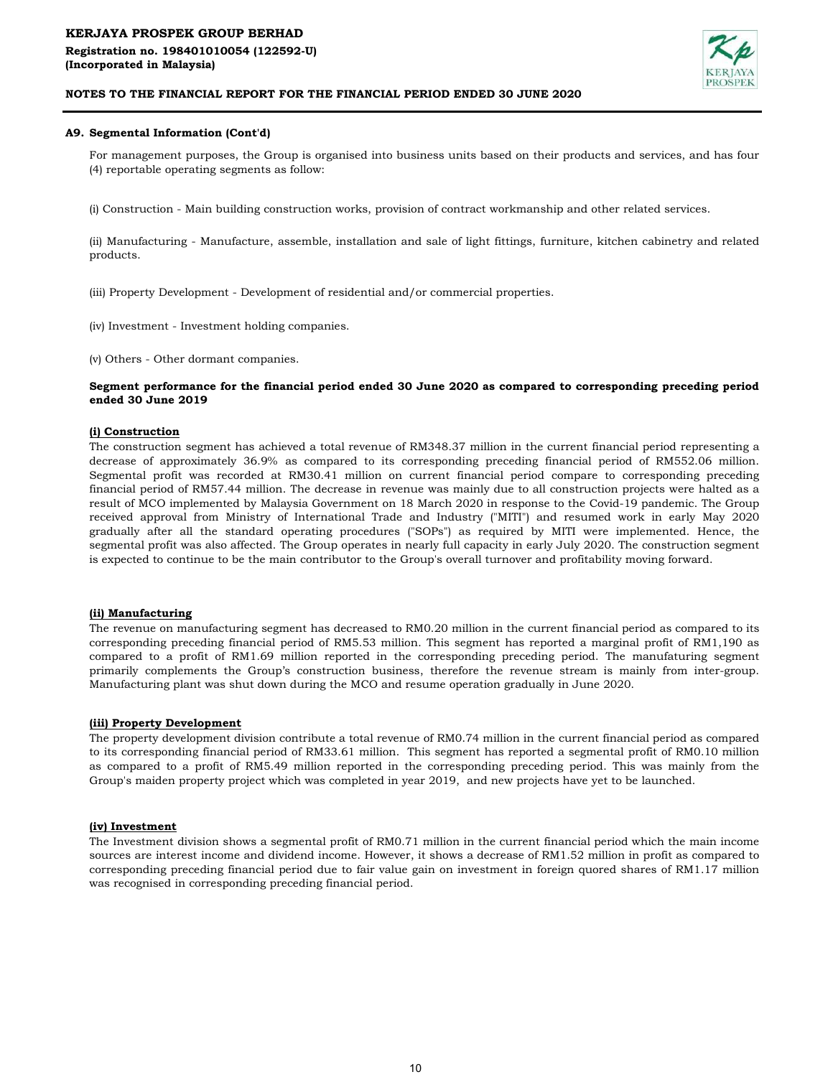# KERJAYA PROSPEK GROUP BERHAD Registration no. 198401010054 (122592-U) (Incorporated in Malaysia)



## NOTES TO THE FINANCIAL REPORT FOR THE FINANCIAL PERIOD ENDED 30 JUNE 2020

## A9. Segmental Information (Cont'd)

For management purposes, the Group is organised into business units based on their products and services, and has four (4) reportable operating segments as follow:

(i) Construction - Main building construction works, provision of contract workmanship and other related services.

(ii) Manufacturing - Manufacture, assemble, installation and sale of light fittings, furniture, kitchen cabinetry and related products.

(iii) Property Development - Development of residential and/or commercial properties.

(iv) Investment - Investment holding companies.

(v) Others - Other dormant companies.

### Segment performance for the financial period ended 30 June 2020 as compared to corresponding preceding period ended 30 June 2019

## (i) Construction

The construction segment has achieved a total revenue of RM348.37 million in the current financial period representing a decrease of approximately 36.9% as compared to its corresponding preceding financial period of RM552.06 million. Segmental profit was recorded at RM30.41 million on current financial period compare to corresponding preceding financial period of RM57.44 million. The decrease in revenue was mainly due to all construction projects were halted as a result of MCO implemented by Malaysia Government on 18 March 2020 in response to the Covid-19 pandemic. The Group received approval from Ministry of International Trade and Industry ("MITI") and resumed work in early May 2020 gradually after all the standard operating procedures ("SOPs") as required by MITI were implemented. Hence, the segmental profit was also affected. The Group operates in nearly full capacity in early July 2020. The construction segment is expected to continue to be the main contributor to the Group's overall turnover and profitability moving forward.

### (ii) Manufacturing

The revenue on manufacturing segment has decreased to RM0.20 million in the current financial period as compared to its corresponding preceding financial period of RM5.53 million. This segment has reported a marginal profit of RM1,190 as compared to a profit of RM1.69 million reported in the corresponding preceding period. The manufaturing segment primarily complements the Group's construction business, therefore the revenue stream is mainly from inter-group. Manufacturing plant was shut down during the MCO and resume operation gradually in June 2020.

#### (iii) Property Development

The property development division contribute a total revenue of RM0.74 million in the current financial period as compared to its corresponding financial period of RM33.61 million. This segment has reported a segmental profit of RM0.10 million as compared to a profit of RM5.49 million reported in the corresponding preceding period. This was mainly from the Group's maiden property project which was completed in year 2019, and new projects have yet to be launched.

#### (iv) Investment

The Investment division shows a segmental profit of RM0.71 million in the current financial period which the main income sources are interest income and dividend income. However, it shows a decrease of RM1.52 million in profit as compared to corresponding preceding financial period due to fair value gain on investment in foreign quored shares of RM1.17 million was recognised in corresponding preceding financial period.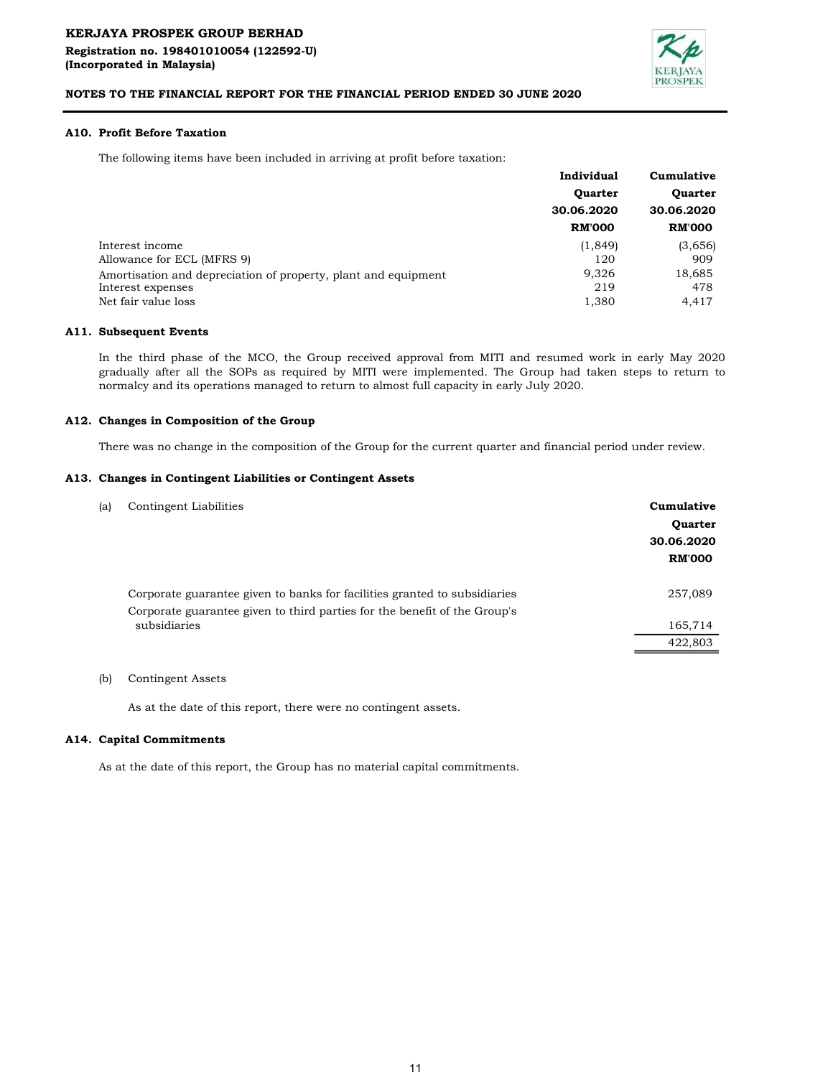

## A10. Profit Before Taxation

The following items have been included in arriving at profit before taxation:

|                                                                | Individual     | Cumulative<br><b>Ouarter</b><br>30.06.2020 |  |
|----------------------------------------------------------------|----------------|--------------------------------------------|--|
|                                                                | <b>Quarter</b> |                                            |  |
|                                                                | 30.06.2020     |                                            |  |
|                                                                | <b>RM'000</b>  | <b>RM'000</b>                              |  |
| Interest income                                                | (1, 849)       | (3,656)                                    |  |
| Allowance for ECL (MFRS 9)                                     | 120            | 909                                        |  |
| Amortisation and depreciation of property, plant and equipment | 9,326          | 18,685                                     |  |
| Interest expenses                                              | 219            | 478                                        |  |
| Net fair value loss                                            | 1,380          | 4.417                                      |  |
|                                                                |                |                                            |  |

### A11. Subsequent Events

In the third phase of the MCO, the Group received approval from MITI and resumed work in early May 2020 gradually after all the SOPs as required by MITI were implemented. The Group had taken steps to return to normalcy and its operations managed to return to almost full capacity in early July 2020.

### A12. Changes in Composition of the Group

There was no change in the composition of the Group for the current quarter and financial period under review.

#### A13. Changes in Contingent Liabilities or Contingent Assets

| (a) | Contingent Liabilities                                                                                                                                 | Cumulative<br><b>Quarter</b><br>30.06.2020<br><b>RM'000</b> |
|-----|--------------------------------------------------------------------------------------------------------------------------------------------------------|-------------------------------------------------------------|
|     | Corporate guarantee given to banks for facilities granted to subsidiaries<br>Corporate guarantee given to third parties for the benefit of the Group's | 257,089                                                     |
|     | subsidiaries                                                                                                                                           | 165,714                                                     |
|     |                                                                                                                                                        | 422,803                                                     |

## (b) Contingent Assets

As at the date of this report, there were no contingent assets.

#### A14. Capital Commitments

As at the date of this report, the Group has no material capital commitments.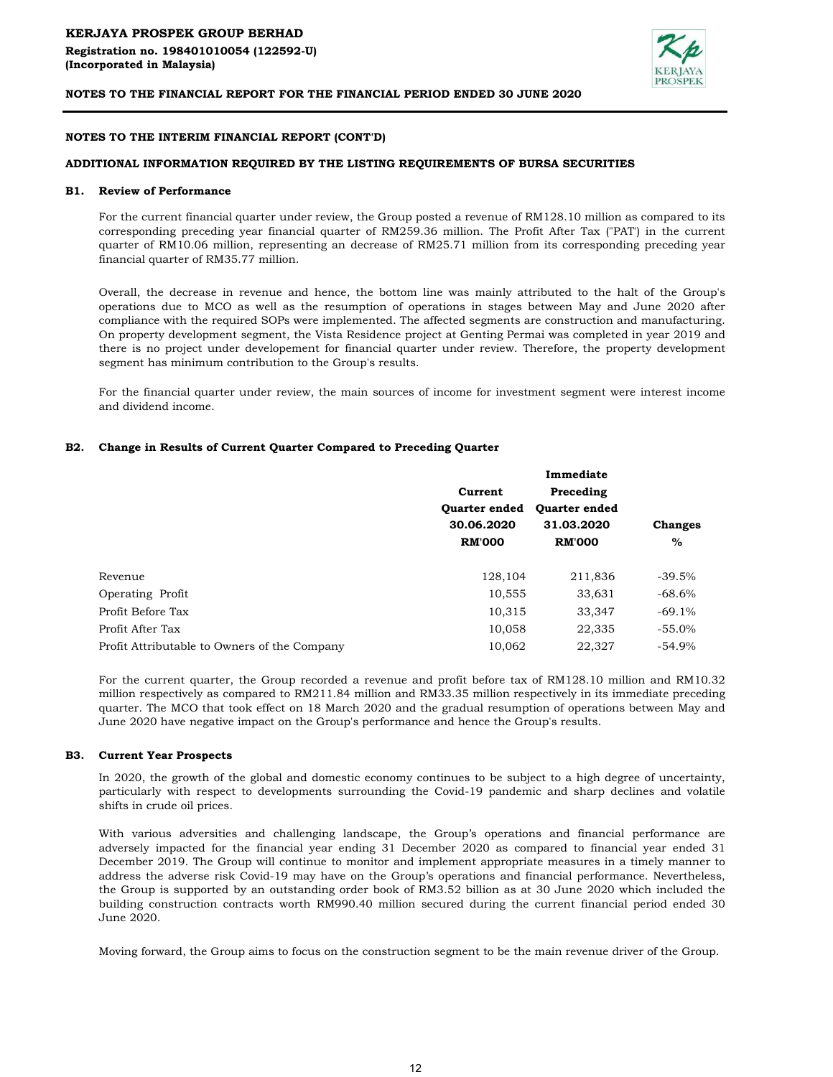

## NOTES TO THE INTERIM FINANCIAL REPORT (CONT'D)

## ADDITIONAL INFORMATION REQUIRED BY THE LISTING REQUIREMENTS OF BURSA SECURITIES

#### B1. Review of Performance

For the current financial quarter under review, the Group posted a revenue of RM128.10 million as compared to its corresponding preceding year financial quarter of RM259.36 million. The Profit After Tax ("PAT') in the current quarter of RM10.06 million, representing an decrease of RM25.71 million from its corresponding preceding year financial quarter of RM35.77 million.

Overall, the decrease in revenue and hence, the bottom line was mainly attributed to the halt of the Group's operations due to MCO as well as the resumption of operations in stages between May and June 2020 after compliance with the required SOPs were implemented. The affected segments are construction and manufacturing. On property development segment, the Vista Residence project at Genting Permai was completed in year 2019 and there is no project under developement for financial quarter under review. Therefore, the property development segment has minimum contribution to the Group's results.

For the financial quarter under review, the main sources of income for investment segment were interest income and dividend income.

### B2. Change in Results of Current Quarter Compared to Preceding Quarter

|                                              |                      | Immediate            |                |
|----------------------------------------------|----------------------|----------------------|----------------|
|                                              | Current              | Preceding            |                |
|                                              | <b>Ouarter ended</b> | <b>Ouarter ended</b> |                |
|                                              | 30.06.2020           | 31.03.2020           | <b>Changes</b> |
|                                              | <b>RM'000</b>        | <b>RM'000</b>        | $\%$           |
| Revenue                                      | 128,104              | 211,836              | $-39.5%$       |
| Operating Profit                             | 10,555               | 33,631               | $-68.6%$       |
| Profit Before Tax                            | 10,315               | 33,347               | $-69.1%$       |
| Profit After Tax                             | 10,058               | 22,335               | $-55.0%$       |
| Profit Attributable to Owners of the Company | 10,062               | 22,327               | $-54.9%$       |

For the current quarter, the Group recorded a revenue and profit before tax of RM128.10 million and RM10.32 million respectively as compared to RM211.84 million and RM33.35 million respectively in its immediate preceding quarter. The MCO that took effect on 18 March 2020 and the gradual resumption of operations between May and June 2020 have negative impact on the Group's performance and hence the Group's results.

#### B3. Current Year Prospects

In 2020, the growth of the global and domestic economy continues to be subject to a high degree of uncertainty, particularly with respect to developments surrounding the Covid-19 pandemic and sharp declines and volatile shifts in crude oil prices.

With various adversities and challenging landscape, the Group's operations and financial performance are adversely impacted for the financial year ending 31 December 2020 as compared to financial year ended 31 December 2019. The Group will continue to monitor and implement appropriate measures in a timely manner to address the adverse risk Covid-19 may have on the Group's operations and financial performance. Nevertheless, the Group is supported by an outstanding order book of RM3.52 billion as at 30 June 2020 which included the building construction contracts worth RM990.40 million secured during the current financial period ended 30 June 2020.

Moving forward, the Group aims to focus on the construction segment to be the main revenue driver of the Group.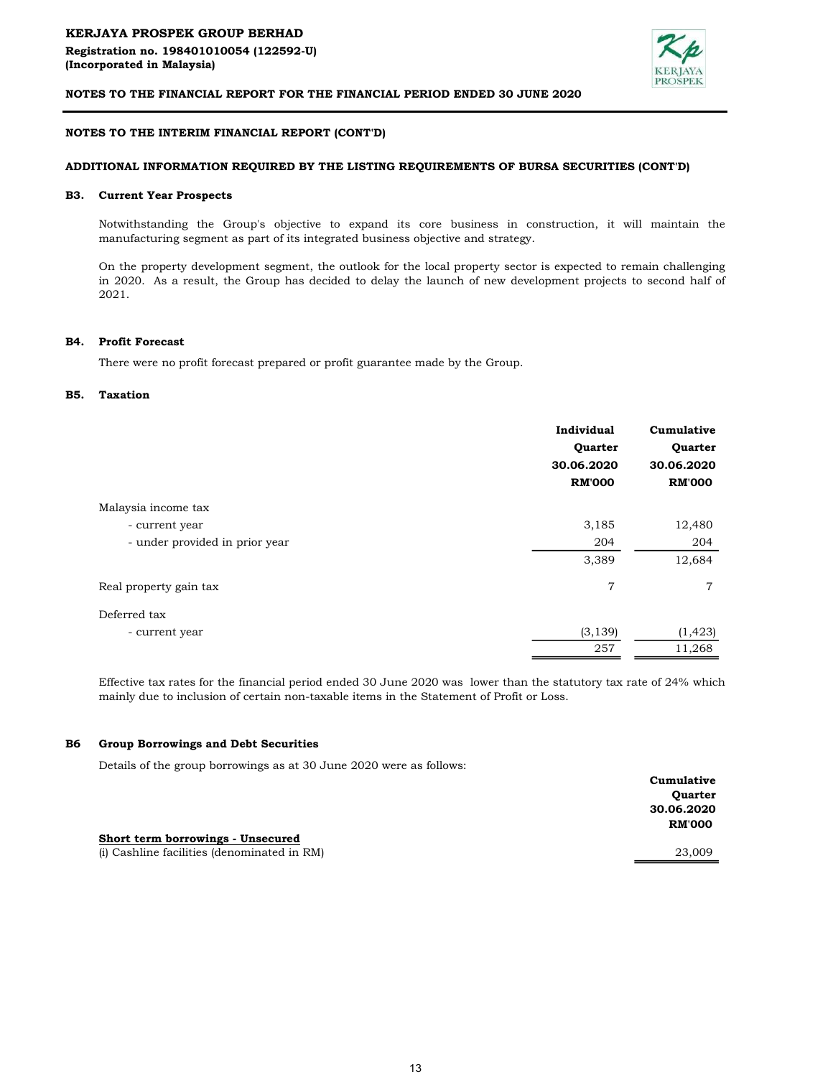

### NOTES TO THE INTERIM FINANCIAL REPORT (CONT'D)

### ADDITIONAL INFORMATION REQUIRED BY THE LISTING REQUIREMENTS OF BURSA SECURITIES (CONT'D)

#### B3. Current Year Prospects

Notwithstanding the Group's objective to expand its core business in construction, it will maintain the manufacturing segment as part of its integrated business objective and strategy.

On the property development segment, the outlook for the local property sector is expected to remain challenging in 2020. As a result, the Group has decided to delay the launch of new development projects to second half of 2021.

#### B4. Profit Forecast

There were no profit forecast prepared or profit guarantee made by the Group.

#### B5. Taxation

|                                | Individual    | Cumulative<br>Quarter |  |
|--------------------------------|---------------|-----------------------|--|
|                                | Quarter       |                       |  |
|                                | 30.06.2020    | 30.06.2020            |  |
|                                | <b>RM'000</b> | <b>RM'000</b>         |  |
| Malaysia income tax            |               |                       |  |
| - current year                 | 3,185         | 12,480                |  |
| - under provided in prior year | 204           | 204                   |  |
|                                | 3,389         | 12,684                |  |
| Real property gain tax         | 7             | 7                     |  |
| Deferred tax                   |               |                       |  |
| - current year                 | (3, 139)      | (1, 423)              |  |
|                                | 257           | 11,268                |  |

Effective tax rates for the financial period ended 30 June 2020 was lower than the statutory tax rate of 24% which mainly due to inclusion of certain non-taxable items in the Statement of Profit or Loss.

#### B6 Group Borrowings and Debt Securities

Details of the group borrowings as at 30 June 2020 were as follows:

|                                             | Cumulative     |
|---------------------------------------------|----------------|
|                                             | <b>Ouarter</b> |
|                                             | 30.06.2020     |
|                                             | <b>RM'000</b>  |
| Short term borrowings - Unsecured           |                |
| (i) Cashline facilities (denominated in RM) | 23,009         |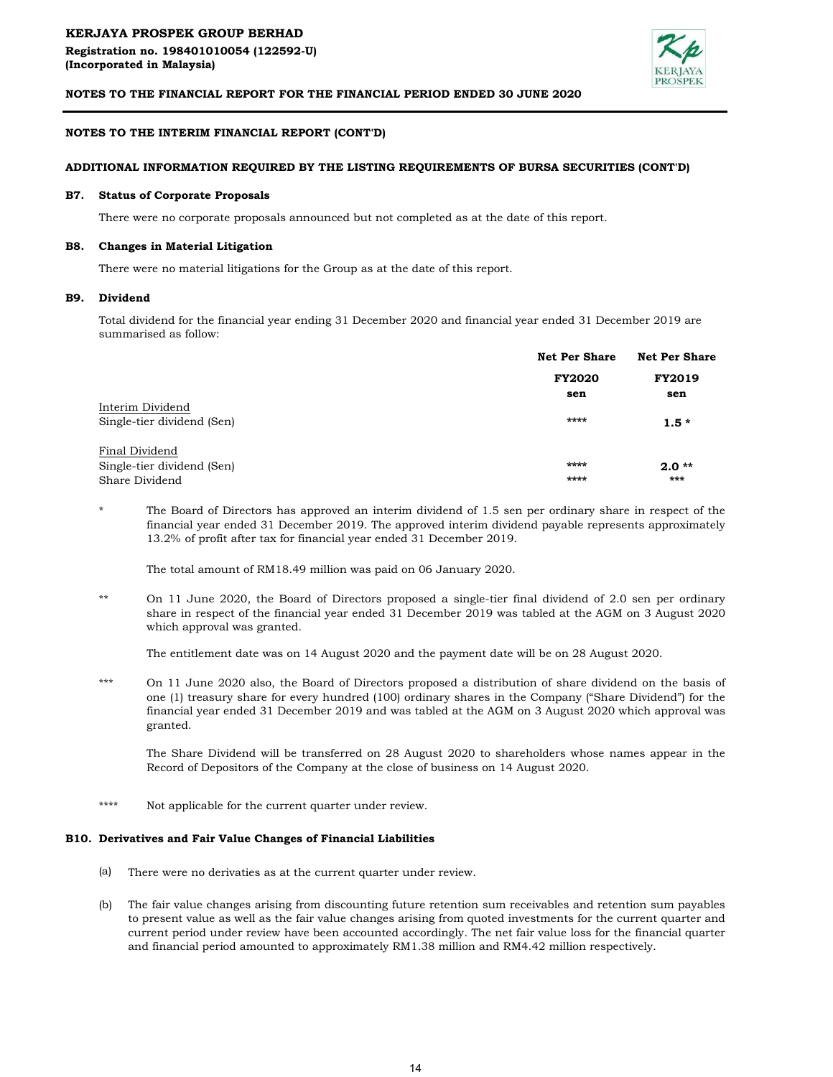

## NOTES TO THE INTERIM FINANCIAL REPORT (CONT'D)

## ADDITIONAL INFORMATION REQUIRED BY THE LISTING REQUIREMENTS OF BURSA SECURITIES (CONT'D)

#### B7. Status of Corporate Proposals

There were no corporate proposals announced but not completed as at the date of this report.

#### B8. Changes in Material Litigation

There were no material litigations for the Group as at the date of this report.

#### B9. Dividend

Total dividend for the financial year ending 31 December 2020 and financial year ended 31 December 2019 are summarised as follow:

|                            | <b>Net Per Share</b> | <b>Net Per Share</b><br><b>FY2019</b> |  |
|----------------------------|----------------------|---------------------------------------|--|
|                            | <b>FY2020</b>        |                                       |  |
|                            | sen                  | sen                                   |  |
| Interim Dividend           |                      |                                       |  |
| Single-tier dividend (Sen) | ****                 | $1.5*$                                |  |
| Final Dividend             |                      |                                       |  |
| Single-tier dividend (Sen) | ****                 | $2.0**$                               |  |
| Share Dividend             | ****                 | ***                                   |  |

\* The Board of Directors has approved an interim dividend of 1.5 sen per ordinary share in respect of the financial year ended 31 December 2019. The approved interim dividend payable represents approximately 13.2% of profit after tax for financial year ended 31 December 2019.

The total amount of RM18.49 million was paid on 06 January 2020.

\*\* On 11 June 2020, the Board of Directors proposed a single-tier final dividend of 2.0 sen per ordinary share in respect of the financial year ended 31 December 2019 was tabled at the AGM on 3 August 2020 which approval was granted.

The entitlement date was on 14 August 2020 and the payment date will be on 28 August 2020.

\*\*\* On 11 June 2020 also, the Board of Directors proposed a distribution of share dividend on the basis of one (1) treasury share for every hundred (100) ordinary shares in the Company ("Share Dividend") for the financial year ended 31 December 2019 and was tabled at the AGM on 3 August 2020 which approval was granted.

The Share Dividend will be transferred on 28 August 2020 to shareholders whose names appear in the Record of Depositors of the Company at the close of business on 14 August 2020.

\*\*\*\* Not applicable for the current quarter under review.

## B10. Derivatives and Fair Value Changes of Financial Liabilities

- (a) There were no derivaties as at the current quarter under review.
- (b) The fair value changes arising from discounting future retention sum receivables and retention sum payables to present value as well as the fair value changes arising from quoted investments for the current quarter and current period under review have been accounted accordingly. The net fair value loss for the financial quarter and financial period amounted to approximately RM1.38 million and RM4.42 million respectively.